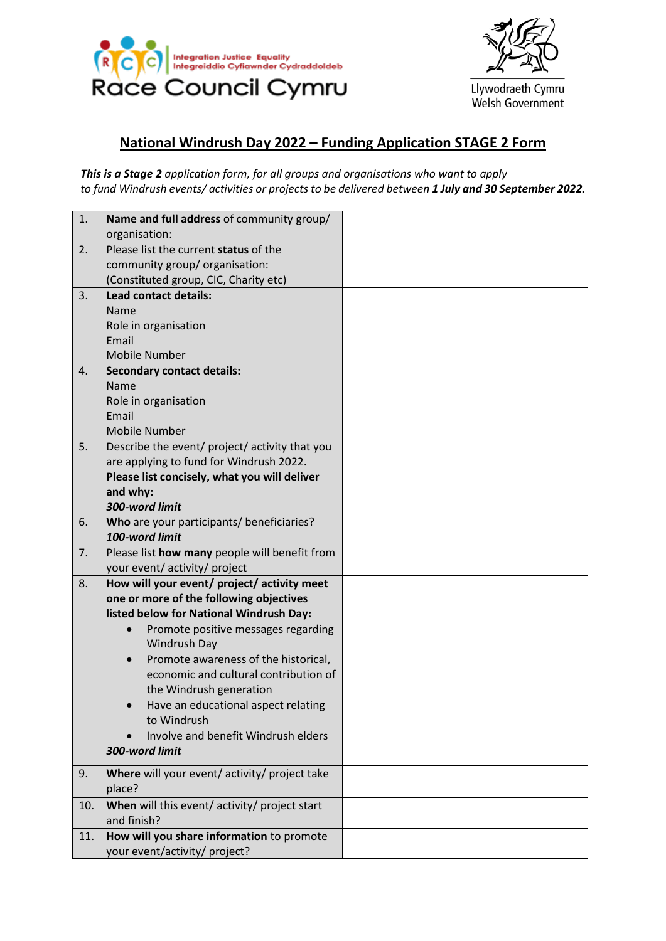



Llywodraeth Cymru Welsh Government

# **National Windrush Day 2022 – Funding Application STAGE 2 Form**

*This is a Stage 2 application form, for all groups and organisations who want to apply to fund Windrush events/ activities or projects to be delivered between 1 July and 30 September 2022.*

| 1.             | Name and full address of community group/         |  |
|----------------|---------------------------------------------------|--|
|                | organisation:                                     |  |
| 2.             | Please list the current status of the             |  |
|                | community group/ organisation:                    |  |
|                | (Constituted group, CIC, Charity etc)             |  |
| 3.             | <b>Lead contact details:</b>                      |  |
|                | Name                                              |  |
|                | Role in organisation                              |  |
|                | Email                                             |  |
|                | <b>Mobile Number</b>                              |  |
| $\mathbf{4}$ . | <b>Secondary contact details:</b>                 |  |
|                | Name                                              |  |
|                | Role in organisation                              |  |
|                | Email                                             |  |
|                | <b>Mobile Number</b>                              |  |
| 5.             | Describe the event/ project/ activity that you    |  |
|                | are applying to fund for Windrush 2022.           |  |
|                | Please list concisely, what you will deliver      |  |
|                | and why:                                          |  |
|                | 300-word limit                                    |  |
| 6.             | Who are your participants/ beneficiaries?         |  |
|                | 100-word limit                                    |  |
| 7.             | Please list how many people will benefit from     |  |
|                | your event/ activity/ project                     |  |
| 8.             | How will your event/ project/ activity meet       |  |
|                | one or more of the following objectives           |  |
|                | listed below for National Windrush Day:           |  |
|                | Promote positive messages regarding<br>$\bullet$  |  |
|                | Windrush Day                                      |  |
|                | Promote awareness of the historical,<br>$\bullet$ |  |
|                | economic and cultural contribution of             |  |
|                | the Windrush generation                           |  |
|                | Have an educational aspect relating               |  |
|                | to Windrush                                       |  |
|                | Involve and benefit Windrush elders               |  |
|                | 300-word limit                                    |  |
| 9.             | Where will your event/ activity/ project take     |  |
|                | place?                                            |  |
| 10.            | When will this event/ activity/ project start     |  |
|                | and finish?                                       |  |
|                |                                                   |  |
| 11.            | How will you share information to promote         |  |
|                | your event/activity/ project?                     |  |